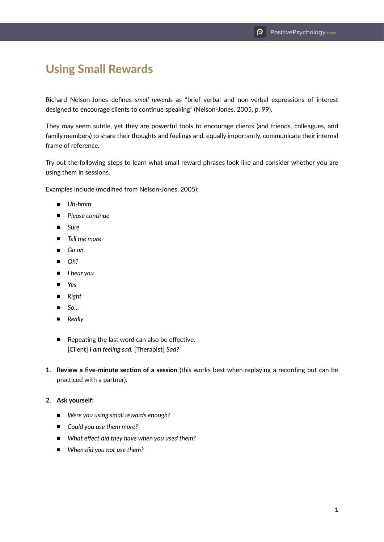## Using Small Rewards

Richard Nelson-Jones defines *small rewards* as "brief verbal and non-verbal expressions of interest designed to encourage clients to continue speaking" (Nelson-Jones, 2005, p. 99).

They may seem subtle, yet they are powerful tools to encourage clients (and friends, colleagues, and family members) to share their thoughts and feelings and, equally importantly, communicate their internal frame of reference.

Try out the following steps to learn what small reward phrases look like and consider whether you are using them in sessions.

Examples include (modified from Nelson-Jones, 2005):

- Uh-hmm
- *Please continue*
- *Sure*
- *Tell me more*
- *Go on*
- *Oh?*
- *I hear you*
- *Yes*
- *Right*
- *So…*
- *Really*
- Repeating the last word can also be effective. [Client] *I am feeling sad.* [Therapist] *Sad?*
- **1. Review a five-minute section of a session** (this works best when replaying a recording but can be practiced with a partner).

## **2. Ask yourself:**

- *Were you using small rewards enough?*
- *Could you use them more?*
- *What effect did they have when you used them?*
- *When did you not use them?*